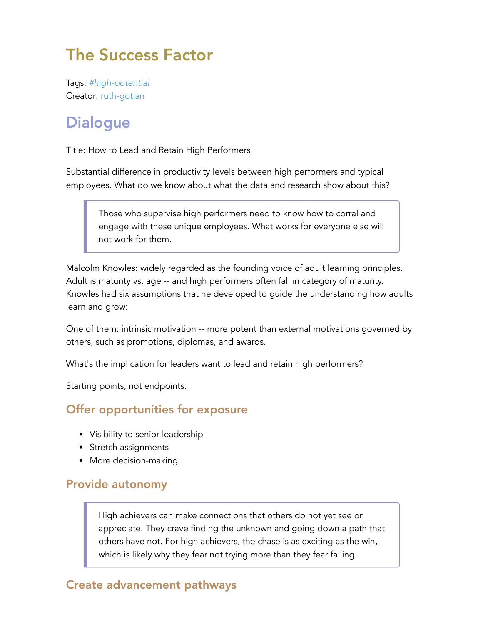# The Success Factor

Tags: *#high-potential* Creator: ruth-gotian

# **Dialogue**

Title: How to Lead and Retain High Performers

Substantial difference in productivity levels between high performers and typical employees. What do we know about what the data and research show about this?

Those who supervise high performers need to know how to corral and engage with these unique employees. What works for everyone else will not work for them.

Malcolm Knowles: widely regarded as the founding voice of adult learning principles. Adult is maturity vs. age -- and high performers often fall in category of maturity. Knowles had six assumptions that he developed to guide the understanding how adults learn and grow:

One of them: intrinsic motivation -- more potent than external motivations governed by others, such as promotions, diplomas, and awards.

What's the implication for leaders want to lead and retain high performers?

Starting points, not endpoints.

### Offer opportunities for exposure

- Visibility to senior leadership
- Stretch assignments
- More decision-making

#### Provide autonomy

High achievers can make connections that others do not yet see or appreciate. They crave finding the unknown and going down a path that others have not. For high achievers, the chase is as exciting as the win, which is likely why they fear not trying more than they fear failing.

#### Create advancement pathways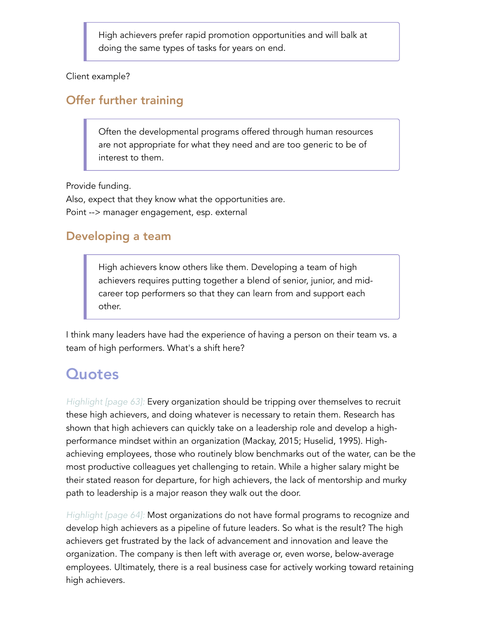High achievers prefer rapid promotion opportunities and will balk at doing the same types of tasks for years on end.

Client example?

### Offer further training

Often the developmental programs offered through human resources are not appropriate for what they need and are too generic to be of interest to them.

Provide funding.

Also, expect that they know what the opportunities are. Point --> manager engagement, esp. external

### Developing a team

High achievers know others like them. Developing a team of high achievers requires putting together a blend of senior, junior, and midcareer top performers so that they can learn from and support each other.

I think many leaders have had the experience of having a person on their team vs. a team of high performers. What's a shift here?

# **Quotes**

*Highlight [page 63]:* Every organization should be tripping over themselves to recruit these high achievers, and doing whatever is necessary to retain them. Research has shown that high achievers can quickly take on a leadership role and develop a highperformance mindset within an organization (Mackay, 2015; Huselid, 1995). Highachieving employees, those who routinely blow benchmarks out of the water, can be the most productive colleagues yet challenging to retain. While a higher salary might be their stated reason for departure, for high achievers, the lack of mentorship and murky path to leadership is a major reason they walk out the door.

*Highlight [page 64]:* Most organizations do not have formal programs to recognize and develop high achievers as a pipeline of future leaders. So what is the result? The high achievers get frustrated by the lack of advancement and innovation and leave the organization. The company is then left with average or, even worse, below-average employees. Ultimately, there is a real business case for actively working toward retaining high achievers.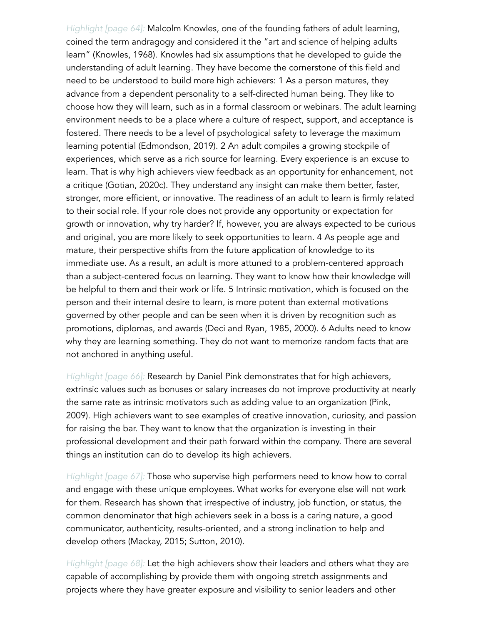*Highlight [page 64]:* Malcolm Knowles, one of the founding fathers of adult learning, coined the term andragogy and considered it the "art and science of helping adults learn" (Knowles, 1968). Knowles had six assumptions that he developed to guide the understanding of adult learning. They have become the cornerstone of this field and need to be understood to build more high achievers: 1 As a person matures, they advance from a dependent personality to a self-directed human being. They like to choose how they will learn, such as in a formal classroom or webinars. The adult learning environment needs to be a place where a culture of respect, support, and acceptance is fostered. There needs to be a level of psychological safety to leverage the maximum learning potential (Edmondson, 2019). 2 An adult compiles a growing stockpile of experiences, which serve as a rich source for learning. Every experience is an excuse to learn. That is why high achievers view feedback as an opportunity for enhancement, not a critique (Gotian, 2020c). They understand any insight can make them better, faster, stronger, more efficient, or innovative. The readiness of an adult to learn is firmly related to their social role. If your role does not provide any opportunity or expectation for growth or innovation, why try harder? If, however, you are always expected to be curious and original, you are more likely to seek opportunities to learn. 4 As people age and mature, their perspective shifts from the future application of knowledge to its immediate use. As a result, an adult is more attuned to a problem-centered approach than a subject-centered focus on learning. They want to know how their knowledge will be helpful to them and their work or life. 5 Intrinsic motivation, which is focused on the person and their internal desire to learn, is more potent than external motivations governed by other people and can be seen when it is driven by recognition such as promotions, diplomas, and awards (Deci and Ryan, 1985, 2000). 6 Adults need to know why they are learning something. They do not want to memorize random facts that are not anchored in anything useful.

*Highlight [page 66]:* Research by Daniel Pink demonstrates that for high achievers, extrinsic values such as bonuses or salary increases do not improve productivity at nearly the same rate as intrinsic motivators such as adding value to an organization (Pink, 2009). High achievers want to see examples of creative innovation, curiosity, and passion for raising the bar. They want to know that the organization is investing in their professional development and their path forward within the company. There are several things an institution can do to develop its high achievers.

*Highlight [page 67]:* Those who supervise high performers need to know how to corral and engage with these unique employees. What works for everyone else will not work for them. Research has shown that irrespective of industry, job function, or status, the common denominator that high achievers seek in a boss is a caring nature, a good communicator, authenticity, results-oriented, and a strong inclination to help and develop others (Mackay, 2015; Sutton, 2010).

*Highlight [page 68]:* Let the high achievers show their leaders and others what they are capable of accomplishing by provide them with ongoing stretch assignments and projects where they have greater exposure and visibility to senior leaders and other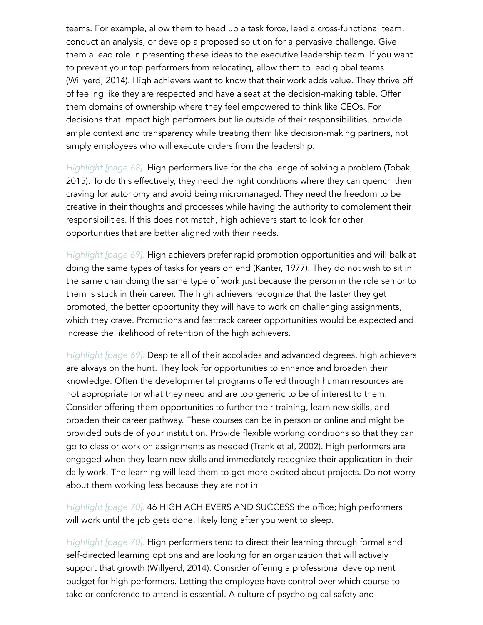teams. For example, allow them to head up a task force, lead a cross-functional team, conduct an analysis, or develop a proposed solution for a pervasive challenge. Give them a lead role in presenting these ideas to the executive leadership team. If you want to prevent your top performers from relocating, allow them to lead global teams (Willyerd, 2014). High achievers want to know that their work adds value. They thrive off of feeling like they are respected and have a seat at the decision-making table. Offer them domains of ownership where they feel empowered to think like CEOs. For decisions that impact high performers but lie outside of their responsibilities, provide ample context and transparency while treating them like decision-making partners, not simply employees who will execute orders from the leadership.

*Highlight [page 68]:* High performers live for the challenge of solving a problem (Tobak, 2015). To do this effectively, they need the right conditions where they can quench their craving for autonomy and avoid being micromanaged. They need the freedom to be creative in their thoughts and processes while having the authority to complement their responsibilities. If this does not match, high achievers start to look for other opportunities that are better aligned with their needs.

*Highlight [page 69]:* High achievers prefer rapid promotion opportunities and will balk at doing the same types of tasks for years on end (Kanter, 1977). They do not wish to sit in the same chair doing the same type of work just because the person in the role senior to them is stuck in their career. The high achievers recognize that the faster they get promoted, the better opportunity they will have to work on challenging assignments, which they crave. Promotions and fasttrack career opportunities would be expected and increase the likelihood of retention of the high achievers.

*Highlight [page 69]:* Despite all of their accolades and advanced degrees, high achievers are always on the hunt. They look for opportunities to enhance and broaden their knowledge. Often the developmental programs offered through human resources are not appropriate for what they need and are too generic to be of interest to them. Consider offering them opportunities to further their training, learn new skills, and broaden their career pathway. These courses can be in person or online and might be provided outside of your institution. Provide flexible working conditions so that they can go to class or work on assignments as needed (Trank et al, 2002). High performers are engaged when they learn new skills and immediately recognize their application in their daily work. The learning will lead them to get more excited about projects. Do not worry about them working less because they are not in

*Highlight [page 70]:* 46 HIGH ACHIEVERS AND SUCCESS the office; high performers will work until the job gets done, likely long after you went to sleep.

*Highlight [page 70]:* High performers tend to direct their learning through formal and self-directed learning options and are looking for an organization that will actively support that growth (Willyerd, 2014). Consider offering a professional development budget for high performers. Letting the employee have control over which course to take or conference to attend is essential. A culture of psychological safety and